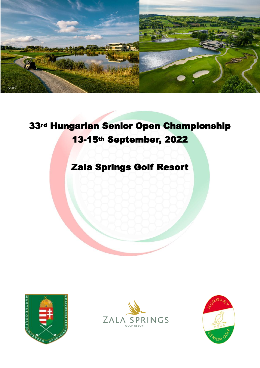

# rd Hungarian Senior Open Championship -15th September, 2022

## Zala Springs Golf Resort





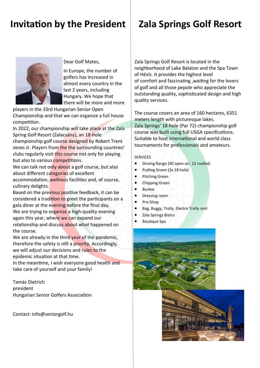# **Invitation by the President**

Dear Golf Mates,

In Europe, the number of golfers has increased in almost every country in the last 2 years, including Hungary. We hope that there will be more and more

players in the 33rd Hungarian Senior Open Championship and that we can organize a full house competition.

In 2022, our championship will take place at the Zala Spring Golf Resort (Zalacsány), an 18-hole championship golf course designed by Robert Trent Jones Jr. Players from the the surrounding countries' clubs regularly visit this course not only for playing but also to various competitions.

We can talk not only about a golf course, but also about different categories of excellent

accommodation, wellness facilities and, of course, culinary delights.

Based on the previous positive feedback, it can be considered a tradition to greet the participants on a gala diner at the evening before the final day. We are trying to organize a high-quality evening again this year, where we can expand our relationship and discuss about what happened on the course.

We are already in the third year of the pandemic, therefore the safety is still a priority. Accordingly, we will adjust our decisions and rules to the epidemic situation at that time.

In the meantime, I wish everyone good health and take care of yourself and your family!

Tamás Dietrich president Hungarian Senior Golfers Association

Contact: info@seniorgolf.hu

# **Zala Springs Golf Resort**

Zala Springs Golf Resort is located in the neighborhood of Lake Balaton and the Spa Town of Hévíz. It provides the highest level of comfort and fascinating ,waiting for the lovers of golf and all those pepole who appreciate the outstanding quality, sophisticated design and high quality services.

The course covers an area of 160 hectares, 6351 meters length with picturesque lakes. Zala Springs' 18-hole (Par 72) championship golf course was built using full USGA specifications. Suitable to host international and world class tournaments for professionals and amateurs.

#### SERVICES

- Driving Range (40 open-air, 12 roofed)
- Putting Green (2x 18 hole)
- Pitching Green
- Chipping Green
- **Bunker**
- Dressing room
- Pro-Shop
- Bag, Buggy, Trolly, Electro Trolly rent
- Zala Springs Bistro
- Boutique Spa



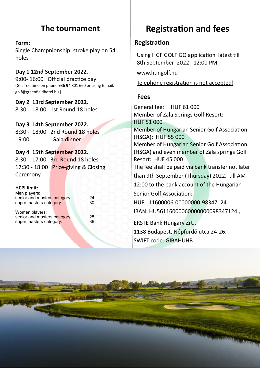### **The tournament**

### **Form:**  Single Champnionship: stroke play on 54 holes

**Day 1 12nd September 2022**. 9:00- 16:00 Official practice day (Get Tee time on phone +36 94 801 660 or using E-mail: golf@greenfieldhotel.hu )

**Day 2 13rd September 2022.** 8:30 - 18:00 1st Round 18 holes

### **Day 3 14th September 2022.**

8:30 - 18:00 2nd Round 18 holes 19:00 Gala dinner

### **Day 4 15th September 2022.**

8:30 - 17:00 3rd Round 18 holes 17:30 - 18:00 Prize-giving & Closing Ceremony

#### **HCPI limit:**

Men players: senior and masters category: 24<br>super masters category: 30 super masters category:

Women players: senior and masters category: 28 super masters category: 36

# **Registration and fees**

### **Registration**

Using HGF GOLFiGO application latest till 8th September 2022. 12:00 PM.

www.hungolf.hu

Telephone registration is not accepted!

### **Fees**

General fee: HUF 61 000 Member of Zala Springs Golf Resort: HUF 51 000 Member of Hungarian Senior Golf Association (HSGA): HUF 55 000 Member of Hungarian Senior Golf Association (HSGA) and even member of Zala springs Golf Resort: HUF 45 000 The fee shall be paid via bank transfer not later than 9th September (Thursday) 2022. till AM 12:00 to the bank account of the Hungarian Senior Golf Association: HUF: 11600006-00000000-98347124 IBAN: HU56116000060000000098347124 , ERSTE Bank Hungary Zrt., 1138 Budapest, Népfürdő utca 24-26.

SWIFT code: GIBAHUHB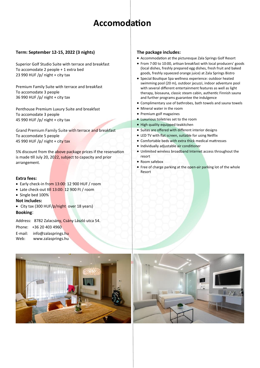# **Accomodation**

#### **Term: September 12-15, 2022 (3 nights)**

Superior Golf Studio Suite with terrace and breakfast To accomodate 2 people + 1 extra bed 23 990 HUF /p/ night + city tax

Premium Family Suite with terrace and breakfast To accomodate 3 people 36 990 HUF /p/ night + city tax

Penthouse Premium Luxury Suite and breakfast To accomodate 3 people 45 990 HUF /p/ night + city tax

Grand Premium Family Suite with terrace and breakfast To accomodate 5 people 45 990 HUF  $/p /$  night + city tax

5% discount from the above package prices if the reservation is made till July 20, 2022, subject to capacity and prior arrangement.

#### **Extra fees:**

- Early check-in from 13:00: 12 900 HUF / room
- Late check-out till 13:00: 12 900 Ft / room
- Single bed 100%
- **Not includes:**
- City tax (300 HUF/p/night over 18 years)

**Booking**:

Address: 8782 Zalacsány, Csány László utca 54.

Phone: +36 20 403 4960

E-mail: info@zalasprings.hu

Web: www.zalasprings.hu

#### **The package includes:**

- Accommodation at the picturesque Zala Springs Golf Resort
- From 7:00 to 10:00, artisan breakfast with local producers' goods (local dishes, freshly prepared egg dishes, fresh fruit and baked goods, freshly squeezed orange juice) at Zala Springs Bistro
- Special Boutique Spa wellness experience: outdoor heated swimming pool (20 m), outdoor jacuzzi, indoor adventure pool with several different entertainment features as well as light therapy, biosauna, classic steam cabin, authentic Finnish sauna and further programs guarantee the indulgence
- Complimentary use of bathrobes, bath towels and sauna towels
- Mineral water in the room
- Premium golf magazines
- Luxurious toiletries set to the room
- High quality equipped teakitchen
- Suites are offered with different interior designs
- LED TV with flat screen, suitable for using Netflix
- Comfortable beds with extra thick medical mattresses
- Individually adjustable air conditioner
- Unlimited wireless broadband Internet access throughout the resort
- Room safebox
- Free of charge parking at the open-air parking lot of the whole Resort